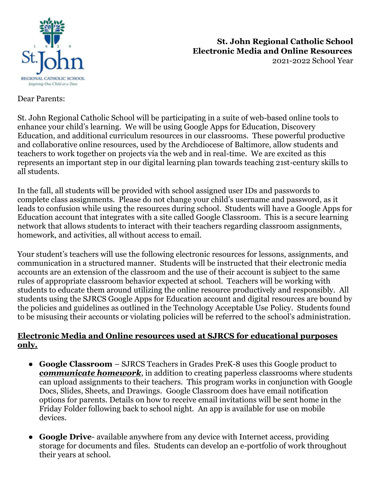

## **St. John Regional Catholic School Electronic Media and Online Resources** 2021-2022 School Year

Dear Parents:

St. John Regional Catholic School will be participating in a suite of web-based online tools to enhance your child's learning. We will be using Google Apps for Education, Discovery Education, and additional curriculum resources in our classrooms. These powerful productive and collaborative online resources, used by the Archdiocese of Baltimore, allow students and teachers to work together on projects via the web and in real-time. We are excited as this represents an important step in our digital learning plan towards teaching 21st-century skills to all students.

In the fall, all students will be provided with school assigned user IDs and passwords to complete class assignments. Please do not change your child's username and password, as it leads to confusion while using the resources during school. Students will have a Google Apps for Education account that integrates with a site called Google Classroom. This is a secure learning network that allows students to interact with their teachers regarding classroom assignments, homework, and activities, all without access to email.

Your student's teachers will use the following electronic resources for lessons, assignments, and communication in a structured manner. Students will be instructed that their electronic media accounts are an extension of the classroom and the use of their account is subject to the same rules of appropriate classroom behavior expected at school. Teachers will be working with students to educate them around utilizing the online resource productively and responsibly. All students using the SJRCS Google Apps for Education account and digital resources are bound by the policies and guidelines as outlined in the Technology Acceptable Use Policy. Students found to be misusing their accounts or violating policies will be referred to the school's administration.

## **Electronic Media and Online resources used at SJRCS for educational purposes only.**

- **Google Classroom**  SJRCS Teachers in Grades PreK-8 uses this Google product to *communicate homework*, in addition to creating paperless classrooms where students can upload assignments to their teachers. This program works in conjunction with Google Docs, Slides, Sheets, and Drawings. Google Classroom does have email notification options for parents. Details on how to receive email invitations will be sent home in the Friday Folder following back to school night. An app is available for use on mobile devices.
- **Google Drive** available anywhere from any device with Internet access, providing storage for documents and files. Students can develop an e-portfolio of work throughout their years at school.